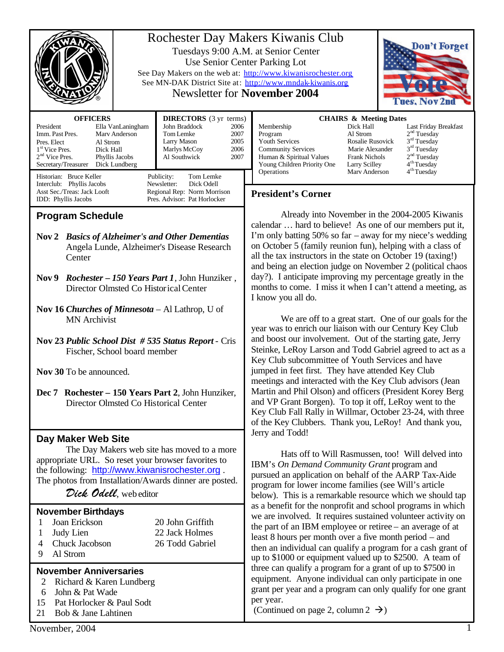|                                                                                                                                                                                                                                                                                                                                                                                                                                                                                                                                           | Rochester Day Makers Kiwanis Club<br>Don't Forget<br>Tuesdays 9:00 A.M. at Senior Center<br>Use Senior Center Parking Lot<br>See Day Makers on the web at: http://www.kiwanisrochester.org<br>See MN-DAK District Site at: http://www.mndak-kiwanis.org<br><b>Newsletter for November 2004</b><br>Tues, Nov 2n                                                                                                                                                                                                                                                                                                                                                                                                                                                                                                                                                                                                                                                                                                                                                                                                                                                                                                |
|-------------------------------------------------------------------------------------------------------------------------------------------------------------------------------------------------------------------------------------------------------------------------------------------------------------------------------------------------------------------------------------------------------------------------------------------------------------------------------------------------------------------------------------------|---------------------------------------------------------------------------------------------------------------------------------------------------------------------------------------------------------------------------------------------------------------------------------------------------------------------------------------------------------------------------------------------------------------------------------------------------------------------------------------------------------------------------------------------------------------------------------------------------------------------------------------------------------------------------------------------------------------------------------------------------------------------------------------------------------------------------------------------------------------------------------------------------------------------------------------------------------------------------------------------------------------------------------------------------------------------------------------------------------------------------------------------------------------------------------------------------------------|
| <b>OFFICERS</b><br><b>DIRECTORS</b> (3 yr terms)<br>John Braddock<br>President<br>Ella VanLaningham<br>2006<br>Imm. Past Pres.<br>Marv Anderson<br>2007<br>Tom Lemke<br>2005<br>Larry Mason<br>Pres. Elect<br>Al Strom<br>2006<br>Marlys McCoy<br>1 <sup>st</sup> Vice Pres.<br>Dick Hall<br>2 <sup>nd</sup> Vice Pres.<br>Phyllis Jacobs<br>Al Southwick<br>2007<br>Secretary/Treasurer<br>Dick Lundberg                                                                                                                                 | <b>CHAIRS &amp; Meeting Dates</b><br>Dick Hall<br>Membership<br>Last Friday Breakfast<br>2 <sup>nd</sup> Tuesday<br>Al Strom<br>Program<br>3 <sup>rd</sup> Tuesday<br>Youth Services<br><b>Rosalie Rusovick</b><br>3 <sup>rd</sup> Tuesday<br><b>Community Services</b><br>Marie Alexander<br>2 <sup>nd</sup> Tuesday<br>Human & Spiritual Values<br><b>Frank Nichols</b><br>4 <sup>th</sup> Tuesday<br>Young Children Priority One<br><b>Larry Scilley</b><br>4 <sup>th</sup> Tuesday<br>Operations<br>Mary Anderson                                                                                                                                                                                                                                                                                                                                                                                                                                                                                                                                                                                                                                                                                         |
| Historian: Bruce Keller<br>Publicity:<br>Tom Lemke<br>Interclub: Phyllis Jacobs<br>Newsletter:<br>Dick Odell<br>Regional Rep: Norm Morrison<br>Asst Sec./Treas: Jack Looft<br>Pres. Advisor: Pat Horlocker<br>IDD: Phyllis Jacobs                                                                                                                                                                                                                                                                                                         | <b>President's Corner</b>                                                                                                                                                                                                                                                                                                                                                                                                                                                                                                                                                                                                                                                                                                                                                                                                                                                                                                                                                                                                                                                                                                                                                                                     |
| <b>Program Schedule</b><br>Nov 2 Basics of Alzheimer's and Other Dementias<br>Angela Lunde, Alzheimer's Disease Research<br>Center<br><i>Rochester - 150 Years Part 1</i> , John Hunziker,<br>Nov 9<br>Director Olmsted Co Historical Center<br>Nov 16 Churches of Minnesota $-$ Al Lathrop, U of<br><b>MN</b> Archivist<br>Nov 23 Public School Dist #535 Status Report - Cris<br>Fischer, School board member<br>Nov 30 To be announced.<br>Dec 7 Rochester - 150 Years Part 2, John Hunziker,<br>Director Olmsted Co Historical Center | Already into November in the 2004-2005 Kiwanis<br>calendar  hard to believe! As one of our members put it,<br>I'm only batting 50% so far $-$ away for my niece's wedding<br>on October 5 (family reunion fun), helping with a class of<br>all the tax instructors in the state on October 19 (taxing!)<br>and being an election judge on November 2 (political chaos<br>day?). I anticipate improving my percentage greatly in the<br>months to come. I miss it when I can't attend a meeting, as<br>I know you all do.<br>We are off to a great start. One of our goals for the<br>year was to enrich our liaison with our Century Key Club<br>and boost our involvement. Out of the starting gate, Jerry<br>Steinke, LeRoy Larson and Todd Gabriel agreed to act as a<br>Key Club subcommittee of Youth Services and have<br>jumped in feet first. They have attended Key Club<br>meetings and interacted with the Key Club advisors (Jean<br>Martin and Phil Olson) and officers (President Korey Berg<br>and VP Grant Borgen). To top it off, LeRoy went to the<br>Key Club Fall Rally in Willmar, October 23-24, with three<br>of the Key Clubbers. Thank you, LeRoy! And thank you,<br>Jerry and Todd! |
| Day Maker Web Site<br>The Day Makers web site has moved to a more<br>appropriate URL. So reset your browser favorites to<br>the following: http://www.kiwanisrochester.org.<br>The photos from Installation/Awards dinner are posted.<br>Dick Odell, web editor<br><b>November Birthdays</b><br>Joan Erickson<br>20 John Griffith<br>1<br>22 Jack Holmes<br>Judy Lien<br>1<br>Chuck Jacobson<br>26 Todd Gabriel<br>4<br>Al Strom<br>9                                                                                                     | Hats off to Will Rasmussen, too! Will delved into<br>IBM's On Demand Community Grant program and<br>pursued an application on behalf of the AARP Tax-Aide<br>program for lower income families (see Will's article<br>below). This is a remarkable resource which we should tap<br>as a benefit for the nonprofit and school programs in which<br>we are involved. It requires sustained volunteer activity on<br>the part of an IBM employee or retiree – an average of at<br>least 8 hours per month over a five month period – and<br>then an individual can qualify a program for a cash grant of<br>up to \$1000 or equipment valued up to \$2500. A team of                                                                                                                                                                                                                                                                                                                                                                                                                                                                                                                                             |
| <b>November Anniversaries</b><br>Richard & Karen Lundberg<br>John & Pat Wade<br>6<br>Pat Horlocker & Paul Sodt<br>15<br>21<br>Bob & Jane Lahtinen<br>November, 2004                                                                                                                                                                                                                                                                                                                                                                       | three can qualify a program for a grant of up to \$7500 in<br>equipment. Anyone individual can only participate in one<br>grant per year and a program can only qualify for one grant<br>per year.<br>(Continued on page 2, column 2 $\rightarrow$ )                                                                                                                                                                                                                                                                                                                                                                                                                                                                                                                                                                                                                                                                                                                                                                                                                                                                                                                                                          |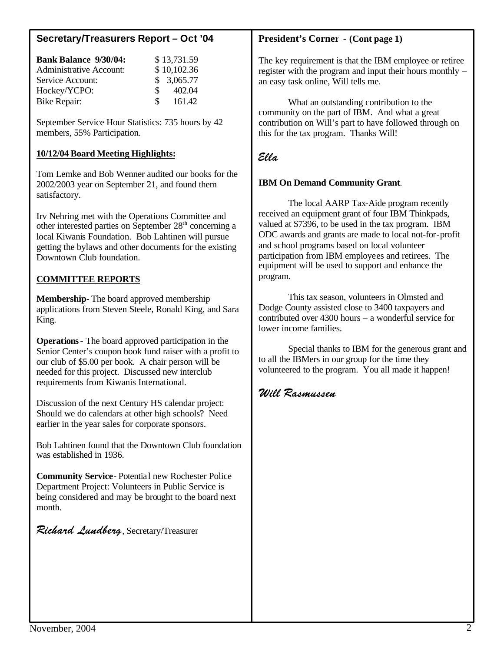# **Secretary/Treasurers Report – Oct '04**

| <b>Bank Balance 9/30/04:</b>   |                 | \$13,731.59 |
|--------------------------------|-----------------|-------------|
| <b>Administrative Account:</b> |                 | \$10,102.36 |
| Service Account:               |                 | \$3,065.77  |
| Hockey/YCPO:                   | $\mathcal{S}^-$ | 402.04      |
| Bike Repair:                   | $\mathcal{S}$   | 161.42      |

September Service Hour Statistics: 735 hours by 42 members, 55% Participation.

## **10/12/04 Board Meeting Highlights:**

Tom Lemke and Bob Wenner audited our books for the 2002/2003 year on September 21, and found them satisfactory.

Irv Nehring met with the Operations Committee and other interested parties on September 28<sup>th</sup> concerning a local Kiwanis Foundation. Bob Lahtinen will pursue getting the bylaws and other documents for the existing Downtown Club foundation.

## **COMMITTEE REPORTS**

**Membership-** The board approved membership applications from Steven Steele, Ronald King, and Sara King.

**Operations**- The board approved participation in the Senior Center's coupon book fund raiser with a profit to our club of \$5.00 per book. A chair person will be needed for this project. Discussed new interclub requirements from Kiwanis International.

Discussion of the next Century HS calendar project: Should we do calendars at other high schools? Need earlier in the year sales for corporate sponsors.

Bob Lahtinen found that the Downtown Club foundation was established in 1936.

**Community Service-** Potential new Rochester Police Department Project: Volunteers in Public Service is being considered and may be brought to the board next month.

Richard Lundberg, Secretary/Treasurer

#### **President's Corner** - **(Cont page 1)**

The key requirement is that the IBM employee or retiree register with the program and input their hours monthly – an easy task online, Will tells me.

What an outstanding contribution to the community on the part of IBM. And what a great contribution on Will's part to have followed through on this for the tax program. Thanks Will!

# Ella

#### **IBM On Demand Community Grant**.

The local AARP Tax-Aide program recently received an equipment grant of four IBM Thinkpads, valued at \$7396, to be used in the tax program. IBM ODC awards and grants are made to local not-for-profit and school programs based on local volunteer participation from IBM employees and retirees. The equipment will be used to support and enhance the program.

This tax season, volunteers in Olmsted and Dodge County assisted close to 3400 taxpayers and contributed over 4300 hours – a wonderful service for lower income families.

Special thanks to IBM for the generous grant and to all the IBMers in our group for the time they volunteered to the program. You all made it happen!

## Will Rasmussen